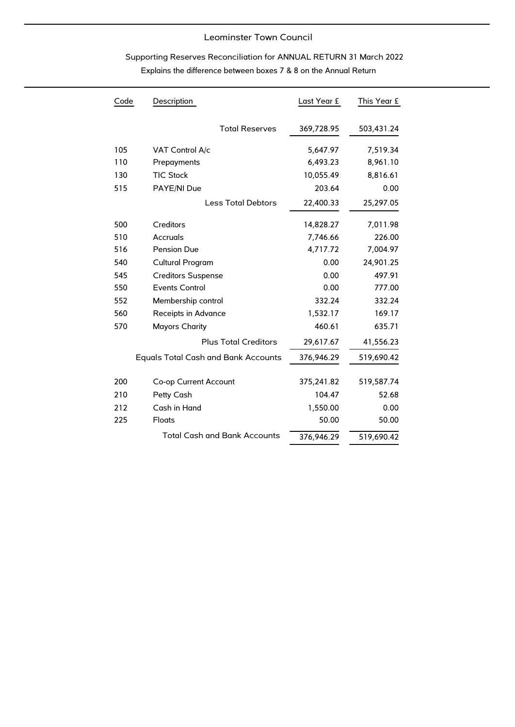## Leominster Town Council

# Supporting Reserves Reconciliation for ANNUAL RETURN 31 March 2022 Explains the difference between boxes 7 & 8 on the Annual Return

| Code | Description                                | Last Year £ | This Year £ |
|------|--------------------------------------------|-------------|-------------|
|      | <b>Total Reserves</b>                      | 369,728.95  | 503,431.24  |
| 105  | VAT Control A/c                            | 5,647.97    | 7,519.34    |
| 110  | Prepayments                                | 6,493.23    | 8,961.10    |
| 130  | <b>TIC Stock</b>                           | 10,055.49   | 8,816.61    |
| 515  | PAYE/NI Due                                | 203.64      | 0.00        |
|      | <b>Less Total Debtors</b>                  | 22,400.33   | 25,297.05   |
| 500  | Creditors                                  | 14,828.27   | 7,011.98    |
| 510  | Accruals                                   | 7,746.66    | 226.00      |
| 516  | <b>Pension Due</b>                         | 4,717.72    | 7,004.97    |
| 540  | Cultural Program                           | 0.00        | 24,901.25   |
| 545  | <b>Creditors Suspense</b>                  | 0.00        | 497.91      |
| 550  | <b>Events Control</b>                      | 0.00        | 777.00      |
| 552  | Membership control                         | 332.24      | 332.24      |
| 560  | Receipts in Advance                        | 1,532.17    | 169.17      |
| 570  | <b>Mayors Charity</b>                      | 460.61      | 635.71      |
|      | <b>Plus Total Creditors</b>                | 29,617.67   | 41,556.23   |
|      | <b>Equals Total Cash and Bank Accounts</b> | 376,946.29  | 519,690.42  |
| 200  | Co-op Current Account                      | 375,241.82  | 519,587.74  |
| 210  | Petty Cash                                 | 104.47      | 52.68       |
| 212  | Cash in Hand                               | 1,550.00    | 0.00        |
| 225  | Floats                                     | 50.00       | 50.00       |
|      | <b>Total Cash and Bank Accounts</b>        | 376,946.29  | 519,690.42  |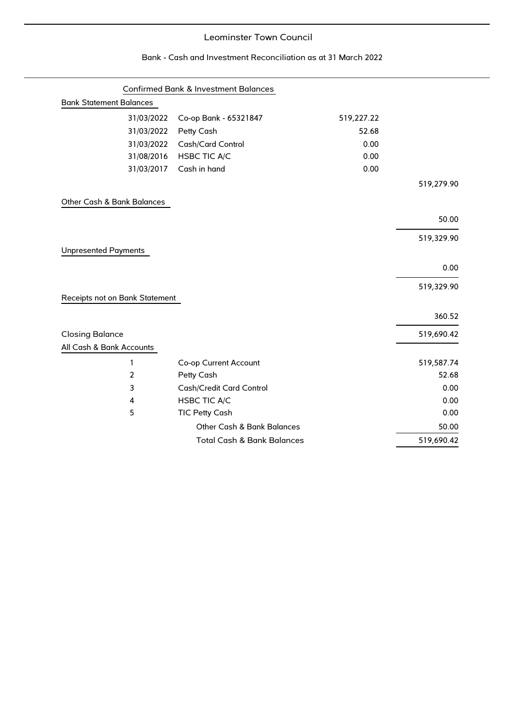## Leominster Town Council

| <b>Bank Statement Balances</b> | Confirmed Bank & Investment Balances  |            |            |
|--------------------------------|---------------------------------------|------------|------------|
| 31/03/2022                     | Co-op Bank - 65321847                 | 519,227.22 |            |
| 31/03/2022                     | Petty Cash                            | 52.68      |            |
| 31/03/2022                     | Cash/Card Control                     | 0.00       |            |
| 31/08/2016                     | <b>HSBC TIC A/C</b>                   | 0.00       |            |
| 31/03/2017                     | Cash in hand                          | 0.00       |            |
|                                |                                       |            | 519,279.90 |
| Other Cash & Bank Balances     |                                       |            |            |
|                                |                                       |            | 50.00      |
|                                |                                       |            | 519,329.90 |
| <b>Unpresented Payments</b>    |                                       |            |            |
|                                |                                       |            | 0.00       |
|                                |                                       |            | 519,329.90 |
| Receipts not on Bank Statement |                                       |            |            |
|                                |                                       |            | 360.52     |
| <b>Closing Balance</b>         |                                       |            | 519,690.42 |
| All Cash & Bank Accounts       |                                       |            |            |
| 1                              | Co-op Current Account                 |            | 519,587.74 |
| 2                              | Petty Cash                            |            | 52.68      |
| 3                              | Cash/Credit Card Control              |            | 0.00       |
| 4                              | <b>HSBC TIC A/C</b>                   |            | 0.00       |
| 5                              | <b>TIC Petty Cash</b>                 |            | 0.00       |
|                                | Other Cash & Bank Balances            |            | 50.00      |
|                                | <b>Total Cash &amp; Bank Balances</b> |            | 519,690.42 |

#### Bank - Cash and Investment Reconciliation as at 31 March 2022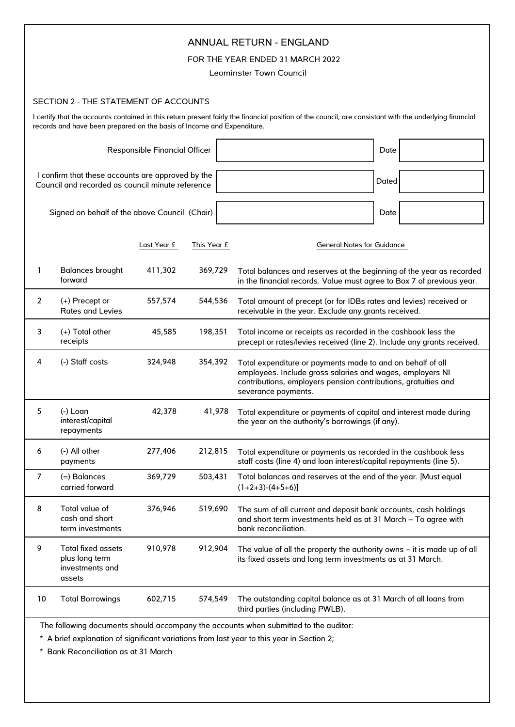| <b>ANNUAL RETURN - ENGLAND</b><br>FOR THE YEAR ENDED 31 MARCH 2022<br>Leominster Town Council                                                                                                                                     |                                                                   |             |             |                                                                                                                                                                                                                  |  |  |
|-----------------------------------------------------------------------------------------------------------------------------------------------------------------------------------------------------------------------------------|-------------------------------------------------------------------|-------------|-------------|------------------------------------------------------------------------------------------------------------------------------------------------------------------------------------------------------------------|--|--|
|                                                                                                                                                                                                                                   |                                                                   |             |             |                                                                                                                                                                                                                  |  |  |
|                                                                                                                                                                                                                                   | SECTION 2 - THE STATEMENT OF ACCOUNTS                             |             |             |                                                                                                                                                                                                                  |  |  |
| I certify that the accounts contained in this return present fairly the financial position of the council, are consistant with the underlying financial<br>records and have been prepared on the basis of Income and Expenditure. |                                                                   |             |             |                                                                                                                                                                                                                  |  |  |
|                                                                                                                                                                                                                                   | <b>Responsible Financial Officer</b><br>Date                      |             |             |                                                                                                                                                                                                                  |  |  |
| I confirm that these accounts are approved by the<br>Council and recorded as council minute reference                                                                                                                             |                                                                   |             |             | Dated                                                                                                                                                                                                            |  |  |
|                                                                                                                                                                                                                                   | Signed on behalf of the above Council (Chair)                     |             |             | Date                                                                                                                                                                                                             |  |  |
|                                                                                                                                                                                                                                   |                                                                   | Last Year £ | This Year £ | <b>General Notes for Guidance</b>                                                                                                                                                                                |  |  |
| 1                                                                                                                                                                                                                                 | <b>Balances brought</b><br>forward                                | 411,302     | 369,729     | Total balances and reserves at the beginning of the year as recorded<br>in the financial records. Value must agree to Box 7 of previous year.                                                                    |  |  |
| $\overline{2}$                                                                                                                                                                                                                    | (+) Precept or<br>Rates and Levies                                | 557,574     | 544,536     | Total amount of precept (or for IDBs rates and levies) received or<br>receivable in the year. Exclude any grants received.                                                                                       |  |  |
| 3                                                                                                                                                                                                                                 | (+) Total other<br>receipts                                       | 45,585      | 198,351     | Total income or receipts as recorded in the cashbook less the<br>precept or rates/levies received (line 2). Include any grants received.                                                                         |  |  |
| 4                                                                                                                                                                                                                                 | (-) Staff costs                                                   | 324,948     | 354,392     | Total expenditure or payments made to and on behalf of all<br>employees. Include gross salaries and wages, employers NI<br>contributions, employers pension contributions, gratuities and<br>severance payments. |  |  |
| 5                                                                                                                                                                                                                                 | (-) Loan<br>interest/capital<br>repayments                        | 42,378      | 41,978      | Total expenditure or payments of capital and interest made during<br>the year on the authority's borrowings (if any).                                                                                            |  |  |
| 6                                                                                                                                                                                                                                 | (-) All other<br>payments                                         | 277,406     | 212,815     | Total expenditure or payments as recorded in the cashbook less<br>staff costs (line 4) and loan interest/capital repayments (line 5).                                                                            |  |  |
| $\overline{7}$                                                                                                                                                                                                                    | $(=)$ Balances<br>carried forward                                 | 369,729     | 503,431     | Total balances and reserves at the end of the year. [Must equal<br>$(1+2+3)-(4+5+6)$                                                                                                                             |  |  |
| 8                                                                                                                                                                                                                                 | Total value of<br>cash and short<br>term investments              | 376,946     | 519,690     | The sum of all current and deposit bank accounts, cash holdings<br>and short term investments held as at 31 March - To agree with<br>bank reconciliation.                                                        |  |  |
| 9                                                                                                                                                                                                                                 | Total fixed assets<br>plus long term<br>investments and<br>assets | 910,978     | 912,904     | The value of all the property the authority owns $-$ it is made up of all<br>its fixed assets and long term investments as at 31 March.                                                                          |  |  |
| 10                                                                                                                                                                                                                                | <b>Total Borrowings</b>                                           | 602,715     | 574,549     | The outstanding capital balance as at 31 March of all loans from<br>third parties (including PWLB).                                                                                                              |  |  |
| The following documents should accompany the accounts when submitted to the auditor:                                                                                                                                              |                                                                   |             |             |                                                                                                                                                                                                                  |  |  |

\* A brief explanation of significant variations from last year to this year in Section 2;

\* Bank Reconciliation as at 31 March